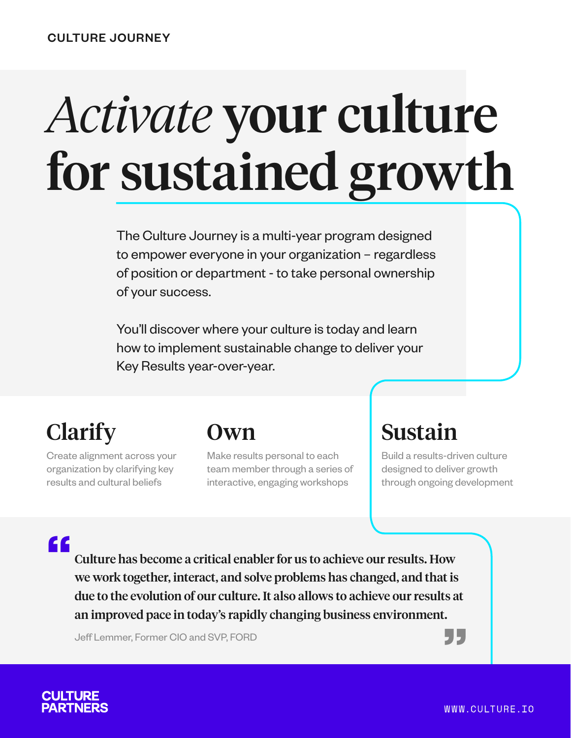# *Activate* your culture for sustained growth

The Culture Journey is a multi-year program designed to empower everyone in your organization – regardless of position or department - to take personal ownership of your success.

You'll discover where your culture is today and learn how to implement sustainable change to deliver your Key Results year-over-year.

# **Clarify**

Create alignment across your organization by clarifying key results and cultural beliefs

## Own

Make results personal to each team member through a series of interactive, engaging workshops

# Sustain

Build a results-driven culture designed to deliver growth through ongoing development

## "

.<br>33<br>| Culture has become a critical enabler for us to achieve our results. How we work together, interact, and solve problems has changed, and that is due to the evolution of our culture. It also allows to achieve our results at an improved pace in today's rapidly changing business environment.

Jeff Lemmer, Former CIO and SVP, FORD